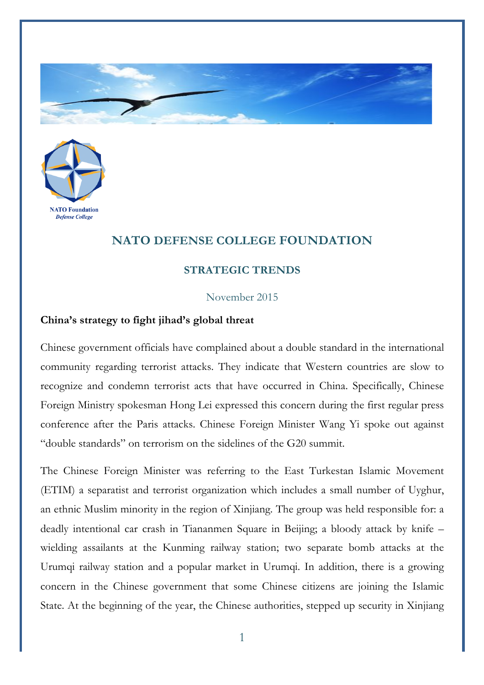



## **NATO DEFENSE COLLEGE FOUNDATION**

## **STRATEGIC TRENDS**

## November 2015

## **China's strategy to fight jihad's global threat**

Chinese government officials have complained about a double standard in the international community regarding terrorist attacks. They indicate that Western countries are slow to recognize and condemn terrorist acts that have occurred in China. Specifically, Chinese Foreign Ministry spokesman Hong Lei expressed this concern during the first regular press conference after the Paris attacks. Chinese Foreign Minister Wang Yi spoke out against "double standards" on terrorism on the sidelines of the G20 summit.

The Chinese Foreign Minister was referring to the East Turkestan Islamic Movement (ETIM) a separatist and terrorist organization which includes a small number of Uyghur, an ethnic Muslim minority in the region of Xinjiang. The group was held responsible for: a deadly intentional car crash in Tiananmen Square in Beijing; a bloody attack by knife – wielding assailants at the Kunming railway station; two separate bomb attacks at the Urumqi railway station and a popular market in Urumqi. In addition, there is a growing concern in the Chinese government that some Chinese citizens are joining the Islamic State. At the beginning of the year, the Chinese authorities, stepped up security in Xinjiang